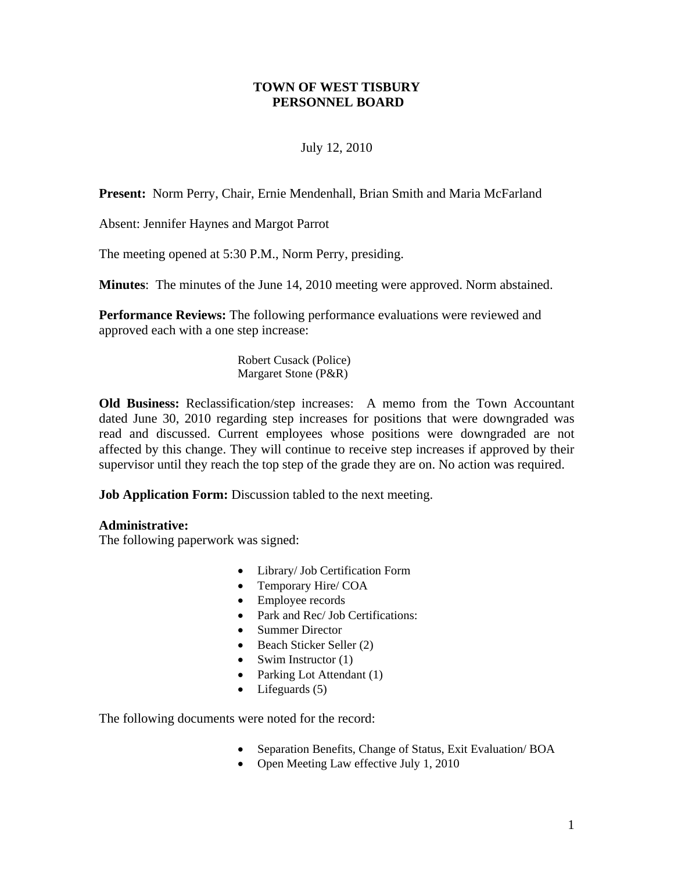## **TOWN OF WEST TISBURY PERSONNEL BOARD**

## July 12, 2010

**Present:** Norm Perry, Chair, Ernie Mendenhall, Brian Smith and Maria McFarland

Absent: Jennifer Haynes and Margot Parrot

The meeting opened at 5:30 P.M., Norm Perry, presiding.

**Minutes**: The minutes of the June 14, 2010 meeting were approved. Norm abstained.

**Performance Reviews:** The following performance evaluations were reviewed and approved each with a one step increase:

> Robert Cusack (Police) Margaret Stone (P&R)

**Old Business:** Reclassification/step increases: A memo from the Town Accountant dated June 30, 2010 regarding step increases for positions that were downgraded was read and discussed. Current employees whose positions were downgraded are not affected by this change. They will continue to receive step increases if approved by their supervisor until they reach the top step of the grade they are on. No action was required.

**Job Application Form:** Discussion tabled to the next meeting.

## **Administrative:**

The following paperwork was signed:

- Library/ Job Certification Form
- Temporary Hire/ COA
- Employee records
- Park and Rec/ Job Certifications:
- Summer Director
- Beach Sticker Seller (2)
- Swim Instructor  $(1)$
- Parking Lot Attendant (1)
- Lifeguards (5)

The following documents were noted for the record:

- Separation Benefits, Change of Status, Exit Evaluation/ BOA
- Open Meeting Law effective July 1, 2010